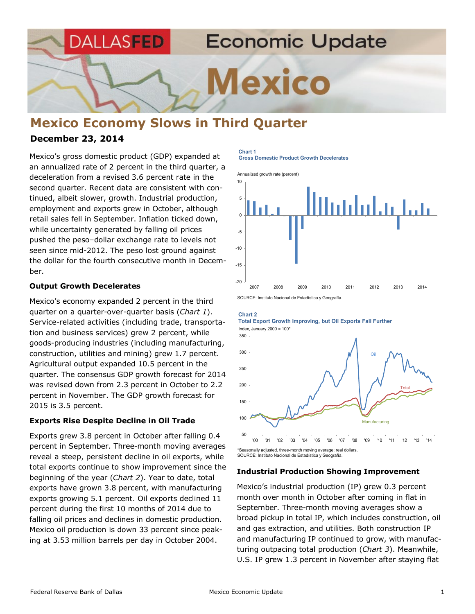**Economic Update** DALLASFED

**Mexico** 

# **Mexico Economy Slows in Third Quarter**

## **December 23, 2014**

Mexico's gross domestic product (GDP) expanded at an annualized rate of 2 percent in the third quarter, a deceleration from a revised 3.6 percent rate in the second quarter. Recent data are consistent with continued, albeit slower, growth. Industrial production, employment and exports grew in October, although retail sales fell in September. Inflation ticked down, while uncertainty generated by falling oil prices pushed the peso–dollar exchange rate to levels not seen since mid-2012. The peso lost ground against the dollar for the fourth consecutive month in December.

#### **Output Growth Decelerates**

Mexico's economy expanded 2 percent in the third quarter on a quarter-over-quarter basis (*Chart 1*). Service-related activities (including trade, transportation and business services) grew 2 percent, while goods-producing industries (including manufacturing, construction, utilities and mining) grew 1.7 percent. Agricultural output expanded 10.5 percent in the quarter. The consensus GDP growth forecast for 2014 was revised down from 2.3 percent in October to 2.2 percent in November. The GDP growth forecast for 2015 is 3.5 percent.

### **Exports Rise Despite Decline in Oil Trade**

Exports grew 3.8 percent in October after falling 0.4 percent in September. Three-month moving averages reveal a steep, persistent decline in oil exports, while total exports continue to show improvement since the beginning of the year (*Chart 2*). Year to date, total exports have grown 3.8 percent, with manufacturing exports growing 5.1 percent. Oil exports declined 11 percent during the first 10 months of 2014 due to falling oil prices and declines in domestic production. Mexico oil production is down 33 percent since peaking at 3.53 million barrels per day in October 2004.

# **Chart 1**

**Gross Domestic Product Growth Decelerates**







SOURCE: Instituto Nacional de Estadística y Geografía.

#### **Industrial Production Showing Improvement**

Mexico's industrial production (IP) grew 0.3 percent month over month in October after coming in flat in September. Three-month moving averages show a broad pickup in total IP, which includes construction, oil and gas extraction, and utilities. Both construction IP and manufacturing IP continued to grow, with manufacturing outpacing total production (*Chart 3*). Meanwhile, U.S. IP grew 1.3 percent in November after staying flat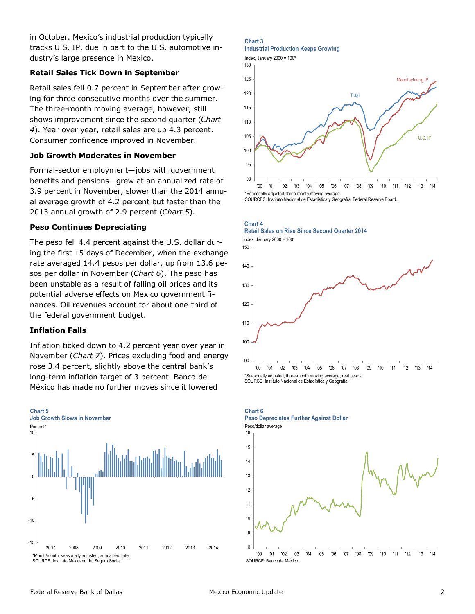in October. Mexico's industrial production typically tracks U.S. IP, due in part to the U.S. automotive industry's large presence in Mexico.

## **Retail Sales Tick Down in September**

Retail sales fell 0.7 percent in September after growing for three consecutive months over the summer. The three-month moving average, however, still shows improvement since the second quarter (*Chart 4*). Year over year, retail sales are up 4.3 percent. Consumer confidence improved in November.

## **Job Growth Moderates in November**

Formal-sector employment—jobs with government benefits and pensions—grew at an annualized rate of 3.9 percent in November, slower than the 2014 annual average growth of 4.2 percent but faster than the 2013 annual growth of 2.9 percent (*Chart 5*).

### **Peso Continues Depreciating**

The peso fell 4.4 percent against the U.S. dollar during the first 15 days of December, when the exchange rate averaged 14.4 pesos per dollar, up from 13.6 pesos per dollar in November (*Chart 6*). The peso has been unstable as a result of falling oil prices and its potential adverse effects on Mexico government finances. Oil revenues account for about one-third of the federal government budget.

## **Inflation Falls**

Inflation ticked down to 4.2 percent year over year in November (*Chart 7*). Prices excluding food and energy rose 3.4 percent, slightly above the central bank's long-term inflation target of 3 percent. Banco de México has made no further moves since it lowered



#### **Chart 3**

**Industrial Production Keeps Growing** 







**Chart 4 Retail Sales on Rise Since Second Quarter <sup>2014</sup>**